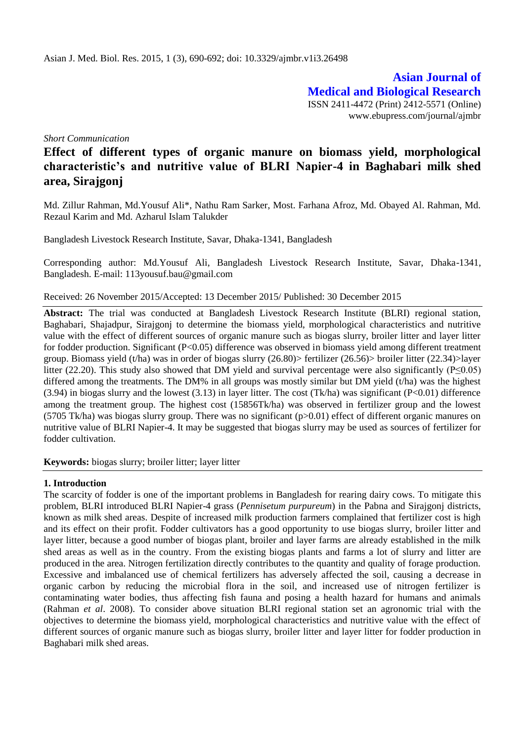**Asian Journal of Medical and Biological Research** ISSN 2411-4472 (Print) 2412-5571 (Online) www.ebupress.com/journal/ajmbr

*Short Communication* 

# **Effect of different types of organic manure on biomass yield, morphological characteristic's and nutritive value of BLRI Napier-4 in Baghabari milk shed area, Sirajgonj**

Md. Zillur Rahman, Md.Yousuf Ali\*, Nathu Ram Sarker, Most. Farhana Afroz, Md. Obayed Al. Rahman, Md. Rezaul Karim and Md. Azharul Islam Talukder

Bangladesh Livestock Research Institute, Savar, Dhaka-1341, Bangladesh

Corresponding author: Md.Yousuf Ali, Bangladesh Livestock Research Institute, Savar, Dhaka-1341, Bangladesh. E-mail: [113yousuf.bau@gmail.com](mailto:113yousuf.bau@gmail.com)

Received: 26 November 2015/Accepted: 13 December 2015/ Published: 30 December 2015

**Abstract:** The trial was conducted at Bangladesh Livestock Research Institute (BLRI) regional station, Baghabari, Shajadpur, Sirajgonj to determine the biomass yield, morphological characteristics and nutritive value with the effect of different sources of organic manure such as biogas slurry, broiler litter and layer litter for fodder production. Significant (P<0.05) difference was observed in biomass yield among different treatment group. Biomass yield (t/ha) was in order of biogas slurry (26.80)> fertilizer (26.56)> broiler litter (22.34)>layer litter (22.20). This study also showed that DM yield and survival percentage were also significantly (P≤0.05) differed among the treatments. The DM% in all groups was mostly similar but DM yield (t/ha) was the highest  $(3.94)$  in biogas slurry and the lowest  $(3.13)$  in layer litter. The cost  $(Tk/ha)$  was significant  $(P<0.01)$  difference among the treatment group. The highest cost (15856Tk/ha) was observed in fertilizer group and the lowest (5705 Tk/ha) was biogas slurry group. There was no significant (p>0.01) effect of different organic manures on nutritive value of BLRI Napier-4. It may be suggested that biogas slurry may be used as sources of fertilizer for fodder cultivation.

**Keywords:** biogas slurry; broiler litter; layer litter

#### **1. Introduction**

The scarcity of fodder is one of the important problems in Bangladesh for rearing dairy cows. To mitigate this problem, BLRI introduced BLRI Napier-4 grass (*Pennisetum purpureum*) in the Pabna and Sirajgonj districts, known as milk shed areas. Despite of increased milk production farmers complained that fertilizer cost is high and its effect on their profit. Fodder cultivators has a good opportunity to use biogas slurry, broiler litter and layer litter, because a good number of biogas plant, broiler and layer farms are already established in the milk shed areas as well as in the country. From the existing biogas plants and farms a lot of slurry and litter are produced in the area. Nitrogen fertilization directly contributes to the quantity and quality of forage production. Excessive and imbalanced use of chemical fertilizers has adversely affected the soil, causing a decrease in organic carbon by reducing the microbial flora in the soil, and increased use of nitrogen fertilizer is contaminating water bodies, thus affecting fish fauna and posing a health hazard for humans and animals (Rahman *et al*. 2008). To consider above situation BLRI regional station set an agronomic trial with the objectives to determine the biomass yield, morphological characteristics and nutritive value with the effect of different sources of organic manure such as biogas slurry, broiler litter and layer litter for fodder production in Baghabari milk shed areas.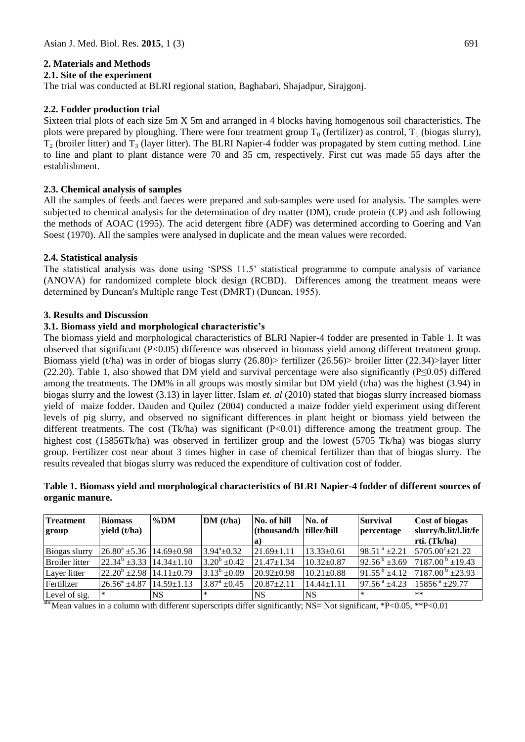## **2. Materials and Methods**

#### **2.1. Site of the experiment**

The trial was conducted at BLRI regional station, Baghabari, Shajadpur, Sirajgonj.

## **2.2. Fodder production trial**

Sixteen trial plots of each size 5m X 5m and arranged in 4 blocks having homogenous soil characteristics. The plots were prepared by ploughing. There were four treatment group  $T_0$  (fertilizer) as control,  $T_1$  (biogas slurry),  $T_2$  (broiler litter) and  $T_3$  (layer litter). The BLRI Napier-4 fodder was propagated by stem cutting method. Line to line and plant to plant distance were 70 and 35 cm, respectively. First cut was made 55 days after the establishment.

## **2.3. Chemical analysis of samples**

All the samples of feeds and faeces were prepared and sub-samples were used for analysis. The samples were subjected to chemical analysis for the determination of dry matter (DM), crude protein (CP) and ash following the methods of AOAC (1995). The acid detergent fibre (ADF) was determined according to Goering and Van Soest (1970). All the samples were analysed in duplicate and the mean values were recorded.

## **2.4. Statistical analysis**

The statistical analysis was done using 'SPSS 11.5' statistical programme to compute analysis of variance (ANOVA) for randomized complete block design (RCBD). Differences among the treatment means were determined by Duncan′s Multiple range Test (DMRT) (Duncan, 1955).

#### **3. Results and Discussion**

## **3.1. Biomass yield and morphological characteristic's**

The biomass yield and morphological characteristics of BLRI Napier-4 fodder are presented in Table 1. It was observed that significant (P<0.05) difference was observed in biomass yield among different treatment group. Biomass yield (t/ha) was in order of biogas slurry (26.80)> fertilizer (26.56)> broiler litter (22.34)>layer litter (22.20). Table 1, also showed that DM yield and survival percentage were also significantly (P≤0.05) differed among the treatments. The DM% in all groups was mostly similar but DM yield (t/ha) was the highest (3.94) in biogas slurry and the lowest (3.13) in layer litter. Islam *et. al* (2010) stated that biogas slurry increased biomass yield of maize fodder. Dauden and Quilez (2004) conducted a maize fodder yield experiment using different levels of pig slurry, and observed no significant differences in plant height or biomass yield between the different treatments. The cost (Tk/ha) was significant (P<0.01) difference among the treatment group. The highest cost (15856Tk/ha) was observed in fertilizer group and the lowest (5705 Tk/ha) was biogas slurry group. Fertilizer cost near about 3 times higher in case of chemical fertilizer than that of biogas slurry. The results revealed that biogas slurry was reduced the expenditure of cultivation cost of fodder.

## **Table 1. Biomass yield and morphological characteristics of BLRI Napier-4 fodder of different sources of organic manure.**

| <b>Treatment</b><br>group | <b>Biomass</b><br>yield $(t/ha)$                 | $\%$ DM          | DM(t/ha)             | No. of hill<br>(thousand/h   tiller/hill | No. of           | <b>Survival</b><br>percentage | Cost of biogas<br>slurry/b.lit/l.lit/fe                |
|---------------------------|--------------------------------------------------|------------------|----------------------|------------------------------------------|------------------|-------------------------------|--------------------------------------------------------|
|                           |                                                  |                  |                      | a)                                       |                  |                               | rti. (Tk/ha)                                           |
| Biogas slurry             | $26.80^{\circ}$ ±5.36   14.69±0.98               |                  | $3.94^a \pm 0.32$    | $21.69 \pm 1.11$                         | $13.33 \pm 0.61$ | 98.51 $^a$ ±2.21              | $5705.00^{\circ} \pm 21.22$                            |
| Broiler litter            | $\left  22.34^b \pm 3.33 \right  14.34 \pm 1.10$ |                  | $3.20^b \pm 0.42$    | $21.47 \pm 1.34$                         | $10.32 \pm 0.87$ | $92.56^{\mathrm{b}}$ ±3.69    | $17187.00^{b} \pm 19.43$                               |
| Layer litter              | $22.20^b \pm 2.98 \pm 14.11 \pm 0.79$            |                  | $13.13^b \pm 0.09$   | $20.92 \pm 0.98$                         | $10.21 \pm 0.88$ |                               | $91.55^{b}$ ±4.12 $\left[7187.00^{b} \pm 23.93\right]$ |
| Fertilizer                | $26.56^{\circ}$ ±4.87                            | $14.59 \pm 1.13$ | $3.87^{\rm a}$ ±0.45 | $20.87 + 2.11$                           | $14.44 \pm 1.11$ | $97.56^{\text{a}}$ +4.23      | $15856^{\text{ a}}$ ±29.77                             |
| Level of sig.             | $\ast$                                           | NS.              | ∗                    | <b>NS</b>                                | NS.              | $\ast$                        | $***$                                                  |

abcMean values in a column with different superscripts differ significantly; NS= Not significant, \*P<0.05, \*\*P<0.01